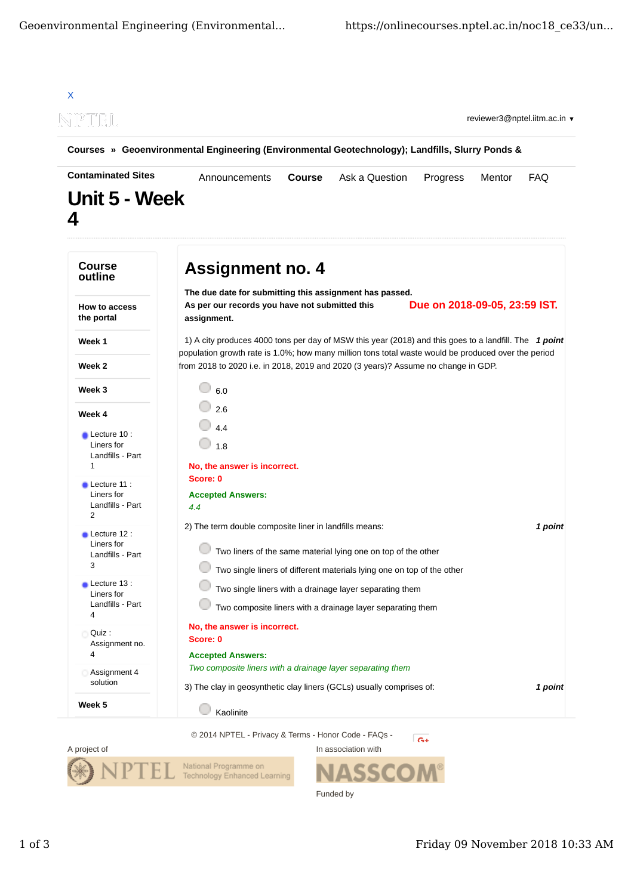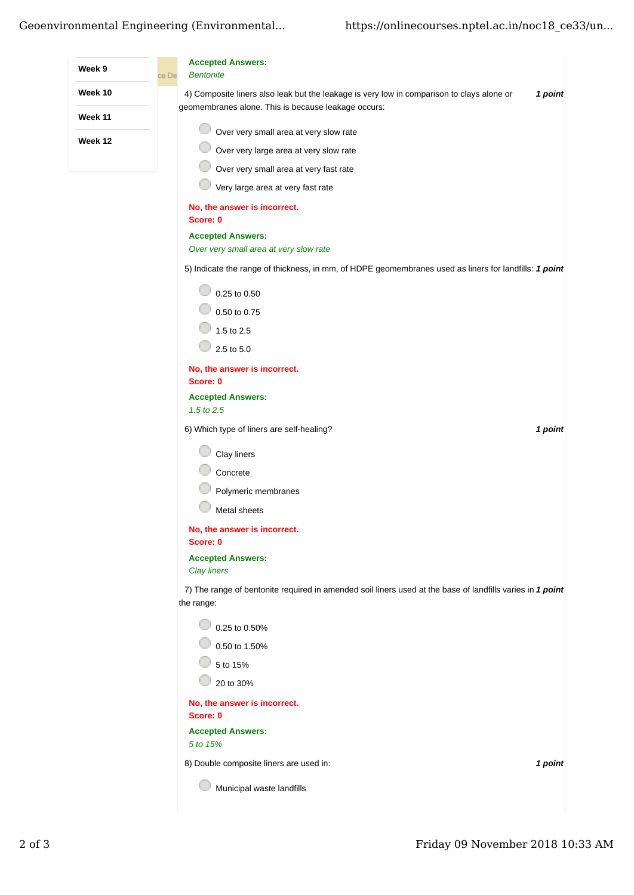|                | <b>Accepted Answers:</b>                                                                                                                                    |
|----------------|-------------------------------------------------------------------------------------------------------------------------------------------------------------|
| Week 9         | <b>Bentonite</b><br>ce De                                                                                                                                   |
| Week 10        | 4) Composite liners also leak but the leakage is very low in comparison to clays alone or<br>1 point<br>geomembranes alone. This is because leakage occurs: |
| <b>Week 11</b> | Over very small area at very slow rate                                                                                                                      |
| Week 12        | Over very large area at very slow rate                                                                                                                      |
|                | Over very small area at very fast rate                                                                                                                      |
|                | Very large area at very fast rate                                                                                                                           |
|                | No, the answer is incorrect.<br>Score: 0                                                                                                                    |
|                | <b>Accepted Answers:</b>                                                                                                                                    |
|                | Over very small area at very slow rate                                                                                                                      |
|                | 5) Indicate the range of thickness, in mm, of HDPE geomembranes used as liners for landfills: 1 point                                                       |
|                | 0.25 to 0.50                                                                                                                                                |
|                | 0.50 to 0.75                                                                                                                                                |
|                | 1.5 to 2.5                                                                                                                                                  |
|                | 2.5 to 5.0                                                                                                                                                  |
|                | No, the answer is incorrect.                                                                                                                                |
|                | Score: 0                                                                                                                                                    |
|                | <b>Accepted Answers:</b><br>1.5 to 2.5                                                                                                                      |
|                | 6) Which type of liners are self-healing?<br>1 point                                                                                                        |
|                | Clay liners                                                                                                                                                 |
|                | Concrete                                                                                                                                                    |
|                | Polymeric membranes                                                                                                                                         |
|                | Metal sheets                                                                                                                                                |
|                | No, the answer is incorrect.<br>Score: 0                                                                                                                    |
|                | <b>Accepted Answers:</b><br><b>Clay liners</b>                                                                                                              |
|                | 7) The range of bentonite required in amended soil liners used at the base of landfills varies in 1 point                                                   |
|                | the range:<br>$\circ$ 0.25 to 0.50%                                                                                                                         |
|                | 0.50 to 1.50%                                                                                                                                               |
|                | 5 to 15%                                                                                                                                                    |
|                | 20 to 30%                                                                                                                                                   |
|                | No, the answer is incorrect.<br>Score: 0                                                                                                                    |
|                | <b>Accepted Answers:</b>                                                                                                                                    |
|                | 5 to 15%                                                                                                                                                    |
|                | 8) Double composite liners are used in:<br>1 point                                                                                                          |
|                | Municipal waste landfills                                                                                                                                   |